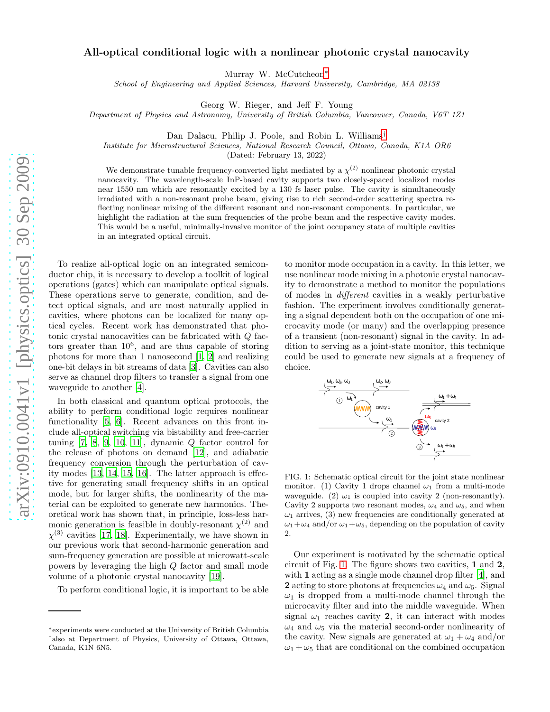## All-optical conditional logic with a nonlinear photonic crystal nanocavity

Murray W. McCutcheon<sup>\*</sup>

School of Engineering and Applied Sciences, Harvard University, Cambridge, MA 02138

Georg W. Rieger, and Jeff F. Young

Department of Physics and Astronomy, University of British Columbia, Vancouver, Canada, V6T 1Z1

Dan Dalacu, Philip J. Poole, and Robin L. Williams[†](#page-0-1)

Institute for Microstructural Sciences, National Research Council, Ottawa, Canada, K1A OR6

(Dated: February 13, 2022)

We demonstrate tunable frequency-converted light mediated by a  $\chi^{(2)}$  nonlinear photonic crystal nanocavity. The wavelength-scale InP-based cavity supports two closely-spaced localized modes near 1550 nm which are resonantly excited by a 130 fs laser pulse. The cavity is simultaneously irradiated with a non-resonant probe beam, giving rise to rich second-order scattering spectra reflecting nonlinear mixing of the different resonant and non-resonant components. In particular, we highlight the radiation at the sum frequencies of the probe beam and the respective cavity modes. This would be a useful, minimally-invasive monitor of the joint occupancy state of multiple cavities in an integrated optical circuit.

To realize all-optical logic on an integrated semiconductor chip, it is necessary to develop a toolkit of logical operations (gates) which can manipulate optical signals. These operations serve to generate, condition, and detect optical signals, and are most naturally applied in cavities, where photons can be localized for many optical cycles. Recent work has demonstrated that photonic crystal nanocavities can be fabricated with Q factors greater than 10<sup>6</sup> , and are thus capable of storing photons for more than 1 nanosecond [\[1](#page-2-0), [2\]](#page-2-1) and realizing one-bit delays in bit streams of data [\[3\]](#page-2-2). Cavities can also serve as channel drop filters to transfer a signal from one waveguide to another [\[4](#page-2-3)].

In both classical and quantum optical protocols, the ability to perform conditional logic requires nonlinear functionality [\[5,](#page-2-4) [6](#page-2-5)]. Recent advances on this front include all-optical switching via bistability and free-carrier tuning  $[7, 8, 9, 10, 11]$  $[7, 8, 9, 10, 11]$  $[7, 8, 9, 10, 11]$  $[7, 8, 9, 10, 11]$  $[7, 8, 9, 10, 11]$ , dynamic  $Q$  factor control for the release of photons on demand [\[12](#page-3-2)], and adiabatic frequency conversion through the perturbation of cavity modes [\[13](#page-3-3), [14,](#page-3-4) [15,](#page-3-5) [16](#page-3-6)]. The latter approach is effective for generating small frequency shifts in an optical mode, but for larger shifts, the nonlinearity of the material can be exploited to generate new harmonics. Theoretical work has shown that, in principle, loss-less harmonic generation is feasible in doubly-resonant  $\chi^{(2)}$  and  $\chi^{(3)}$  cavities [\[17,](#page-3-7) [18](#page-3-8)]. Experimentally, we have shown in our previous work that second-harmonic generation and sum-frequency generation are possible at microwatt-scale powers by leveraging the high Q factor and small mode volume of a photonic crystal nanocavity [\[19\]](#page-3-9).

To perform conditional logic, it is important to be able

to monitor mode occupation in a cavity. In this letter, we use nonlinear mode mixing in a photonic crystal nanocavity to demonstrate a method to monitor the populations of modes in different cavities in a weakly perturbative fashion. The experiment involves conditionally generating a signal dependent both on the occupation of one microcavity mode (or many) and the overlapping presence of a transient (non-resonant) signal in the cavity. In addition to serving as a joint-state monitor, this technique could be used to generate new signals at a frequency of choice.



<span id="page-0-2"></span>FIG. 1: Schematic optical circuit for the joint state nonlinear monitor. (1) Cavity 1 drops channel  $\omega_1$  from a multi-mode waveguide. (2)  $\omega_1$  is coupled into cavity 2 (non-resonantly). Cavity 2 supports two resonant modes,  $\omega_4$  and  $\omega_5$ , and when  $\omega_1$  arrives, (3) new frequencies are conditionally generated at  $\omega_1+\omega_4$  and/or  $\omega_1+\omega_5$ , depending on the population of cavity 2.

Our experiment is motivated by the schematic optical circuit of Fig. [1.](#page-0-2) The figure shows two cavities, 1 and 2, with 1 acting as a single mode channel drop filter [\[4\]](#page-2-3), and 2 acting to store photons at frequencies  $\omega_4$  and  $\omega_5$ . Signal  $\omega_1$  is dropped from a multi-mode channel through the microcavity filter and into the middle waveguide. When signal  $\omega_1$  reaches cavity 2, it can interact with modes  $\omega_4$  and  $\omega_5$  via the material second-order nonlinearity of the cavity. New signals are generated at  $\omega_1 + \omega_4$  and/or  $\omega_1 + \omega_5$  that are conditional on the combined occupation

<span id="page-0-1"></span><span id="page-0-0"></span><sup>∗</sup> experiments were conducted at the University of British Columbia †also at Department of Physics, University of Ottawa, Ottawa, Canada, K1N 6N5.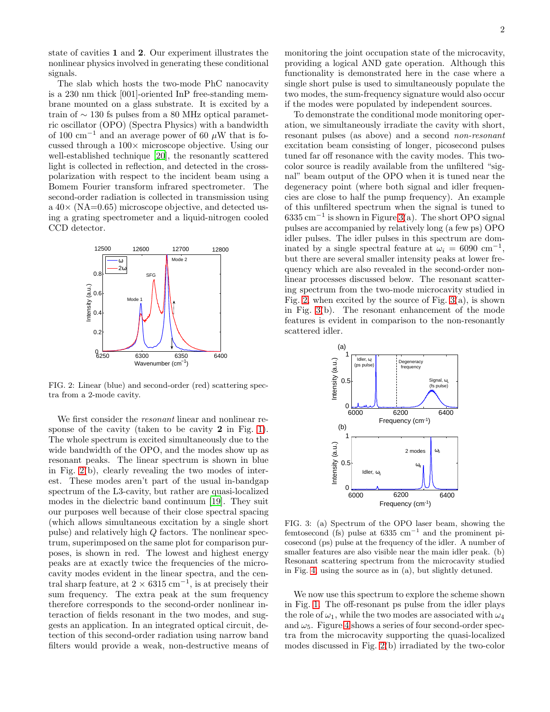state of cavities 1 and 2. Our experiment illustrates the nonlinear physics involved in generating these conditional signals.

The slab which hosts the two-mode PhC nanocavity is a 230 nm thick [001]-oriented InP free-standing membrane mounted on a glass substrate. It is excited by a train of ∼ 130 fs pulses from a 80 MHz optical parametric oscillator (OPO) (Spectra Physics) with a bandwidth of 100 cm<sup>-1</sup> and an average power of 60  $\mu$ W that is focussed through a  $100\times$  microscope objective. Using our well-established technique [\[20\]](#page-3-10), the resonantly scattered light is collected in reflection, and detected in the crosspolarization with respect to the incident beam using a Bomem Fourier transform infrared spectrometer. The second-order radiation is collected in transmission using a  $40\times$  (NA=0.65) microscope objective, and detected using a grating spectrometer and a liquid-nitrogen cooled CCD detector.



<span id="page-1-0"></span>FIG. 2: Linear (blue) and second-order (red) scattering spectra from a 2-mode cavity.

We first consider the resonant linear and nonlinear response of the cavity (taken to be cavity 2 in Fig. [1\)](#page-0-2). The whole spectrum is excited simultaneously due to the wide bandwidth of the OPO, and the modes show up as resonant peaks. The linear spectrum is shown in blue in Fig. [2\(](#page-1-0)b), clearly revealing the two modes of interest. These modes aren't part of the usual in-bandgap spectrum of the L3-cavity, but rather are quasi-localized modes in the dielectric band continuum [\[19\]](#page-3-9). They suit our purposes well because of their close spectral spacing (which allows simultaneous excitation by a single short pulse) and relatively high Q factors. The nonlinear spectrum, superimposed on the same plot for comparison purposes, is shown in red. The lowest and highest energy peaks are at exactly twice the frequencies of the microcavity modes evident in the linear spectra, and the central sharp feature, at  $2 \times 6315$  cm<sup>-1</sup>, is at precisely their sum frequency. The extra peak at the sum frequency therefore corresponds to the second-order nonlinear interaction of fields resonant in the two modes, and suggests an application. In an integrated optical circuit, detection of this second-order radiation using narrow band filters would provide a weak, non-destructive means of monitoring the joint occupation state of the microcavity, providing a logical AND gate operation. Although this functionality is demonstrated here in the case where a single short pulse is used to simultaneously populate the two modes, the sum-frequency signature would also occur if the modes were populated by independent sources.

To demonstrate the conditional mode monitoring operation, we simultaneously irradiate the cavity with short, resonant pulses (as above) and a second non-resonant excitation beam consisting of longer, picosecond pulses tuned far off resonance with the cavity modes. This twocolor source is readily available from the unfiltered "signal" beam output of the OPO when it is tuned near the degeneracy point (where both signal and idler frequencies are close to half the pump frequency). An example of this unfiltered spectrum when the signal is tuned to 6335 cm−<sup>1</sup> is shown in Figure [3\(](#page-1-1)a). The short OPO signal pulses are accompanied by relatively long (a few ps) OPO idler pulses. The idler pulses in this spectrum are dominated by a single spectral feature at  $\omega_i = 6090 \text{ cm}^{-1}$ , but there are several smaller intensity peaks at lower frequency which are also revealed in the second-order nonlinear processes discussed below. The resonant scattering spectrum from the two-mode microcavity studied in Fig. [2,](#page-1-0) when excited by the source of Fig.  $3(a)$ , is shown in Fig. [3\(](#page-1-1)b). The resonant enhancement of the mode features is evident in comparison to the non-resonantly scattered idler.



<span id="page-1-1"></span>FIG. 3: (a) Spectrum of the OPO laser beam, showing the femtosecond (fs) pulse at  $6335 \text{ cm}^{-1}$  and the prominent picosecond (ps) pulse at the frequency of the idler. A number of smaller features are also visible near the main idler peak. (b) Resonant scattering spectrum from the microcavity studied in Fig. [4,](#page-2-9) using the source as in (a), but slightly detuned.

We now use this spectrum to explore the scheme shown in Fig. [1.](#page-0-2) The off-resonant ps pulse from the idler plays the role of  $\omega_1$ , while the two modes are associated with  $\omega_4$ and  $\omega_5$ . Figure [4](#page-2-9) shows a series of four second-order spectra from the microcavity supporting the quasi-localized modes discussed in Fig. [2\(](#page-1-0)b) irradiated by the two-color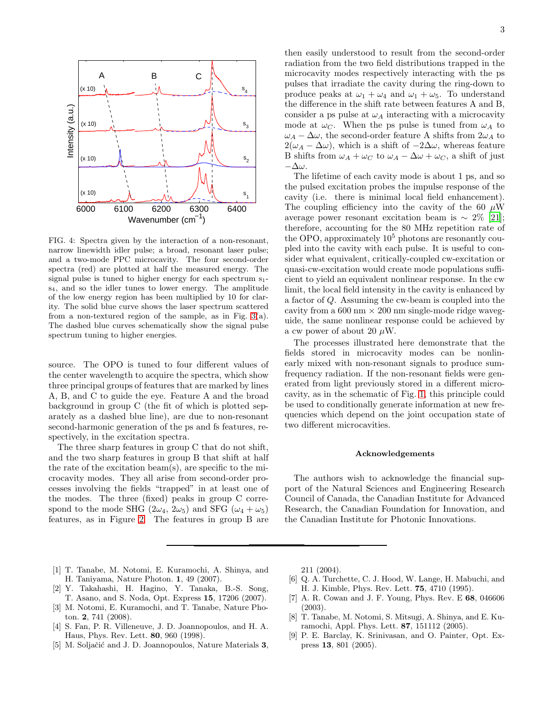

<span id="page-2-9"></span>FIG. 4: Spectra given by the interaction of a non-resonant, narrow linewidth idler pulse; a broad, resonant laser pulse; and a two-mode PPC microcavity. The four second-order spectra (red) are plotted at half the measured energy. The signal pulse is tuned to higher energy for each spectrum s1 s4, and so the idler tunes to lower energy. The amplitude of the low energy region has been multiplied by 10 for clarity. The solid blue curve shows the laser spectrum scattered from a non-textured region of the sample, as in Fig. [3\(](#page-1-1)a). The dashed blue curves schematically show the signal pulse spectrum tuning to higher energies.

source. The OPO is tuned to four different values of the center wavelength to acquire the spectra, which show three principal groups of features that are marked by lines A, B, and C to guide the eye. Feature A and the broad background in group C (the fit of which is plotted separately as a dashed blue line), are due to non-resonant second-harmonic generation of the ps and fs features, respectively, in the excitation spectra.

The three sharp features in group C that do not shift, and the two sharp features in group B that shift at half the rate of the excitation beam(s), are specific to the microcavity modes. They all arise from second-order processes involving the fields "trapped" in at least one of the modes. The three (fixed) peaks in group C correspond to the mode SHG  $(2\omega_4, 2\omega_5)$  and SFG  $(\omega_4 + \omega_5)$ features, as in Figure [2.](#page-1-0) The features in group B are

then easily understood to result from the second-order radiation from the two field distributions trapped in the microcavity modes respectively interacting with the ps pulses that irradiate the cavity during the ring-down to produce peaks at  $\omega_1 + \omega_4$  and  $\omega_1 + \omega_5$ . To understand the difference in the shift rate between features A and B, consider a ps pulse at  $\omega_A$  interacting with a microcavity mode at  $\omega_C$ . When the ps pulse is tuned from  $\omega_A$  to  $\omega_A - \Delta \omega$ , the second-order feature A shifts from  $2\omega_A$  to  $2(\omega_A - \Delta \omega)$ , which is a shift of  $-2\Delta \omega$ , whereas feature B shifts from  $\omega_A + \omega_C$  to  $\omega_A - \Delta \omega + \omega_C$ , a shift of just −∆ω.

The lifetime of each cavity mode is about 1 ps, and so the pulsed excitation probes the impulse response of the cavity (i.e. there is minimal local field enhancement). The coupling efficiency into the cavity of the 60  $\mu$ W average power resonant excitation beam is  $\sim 2\%$  [\[21\]](#page-3-11); therefore, accounting for the 80 MHz repetition rate of the OPO, approximately  $10^5$  photons are resonantly coupled into the cavity with each pulse. It is useful to consider what equivalent, critically-coupled cw-excitation or quasi-cw-excitation would create mode populations sufficient to yield an equivalent nonlinear response. In the cw limit, the local field intensity in the cavity is enhanced by a factor of Q. Assuming the cw-beam is coupled into the cavity from a 600 nm  $\times$  200 nm single-mode ridge waveguide, the same nonlinear response could be achieved by a cw power of about 20  $\mu$ W.

The processes illustrated here demonstrate that the fields stored in microcavity modes can be nonlinearly mixed with non-resonant signals to produce sumfrequency radiation. If the non-resonant fields were generated from light previously stored in a different microcavity, as in the schematic of Fig. [1,](#page-0-2) this principle could be used to conditionally generate information at new frequencies which depend on the joint occupation state of two different microcavities.

## Acknowledgements

The authors wish to acknowledge the financial support of the Natural Sciences and Engineering Research Council of Canada, the Canadian Institute for Advanced Research, the Canadian Foundation for Innovation, and the Canadian Institute for Photonic Innovations.

- <span id="page-2-0"></span>[1] T. Tanabe, M. Notomi, E. Kuramochi, A. Shinya, and H. Taniyama, Nature Photon. 1, 49 (2007).
- <span id="page-2-1"></span>[2] Y. Takahashi, H. Hagino, Y. Tanaka, B.-S. Song, T. Asano, and S. Noda, Opt. Express 15, 17206 (2007).
- <span id="page-2-2"></span>[3] M. Notomi, E. Kuramochi, and T. Tanabe, Nature Photon. 2, 741 (2008).
- <span id="page-2-3"></span>[4] S. Fan, P. R. Villeneuve, J. D. Joannopoulos, and H. A. Haus, Phys. Rev. Lett. 80, 960 (1998).
- <span id="page-2-4"></span>[5] M. Soljačić and J. D. Joannopoulos, Nature Materials 3,

211 (2004).

- <span id="page-2-5"></span>[6] Q. A. Turchette, C. J. Hood, W. Lange, H. Mabuchi, and H. J. Kimble, Phys. Rev. Lett. 75, 4710 (1995).
- <span id="page-2-6"></span>[7] A. R. Cowan and J. F. Young, Phys. Rev. E 68, 046606 (2003).
- <span id="page-2-7"></span>[8] T. Tanabe, M. Notomi, S. Mitsugi, A. Shinya, and E. Kuramochi, Appl. Phys. Lett. 87, 151112 (2005).
- <span id="page-2-8"></span>[9] P. E. Barclay, K. Srinivasan, and O. Painter, Opt. Express 13, 801 (2005).